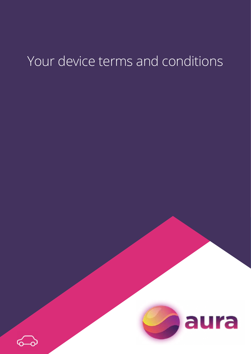# Your device terms and conditions



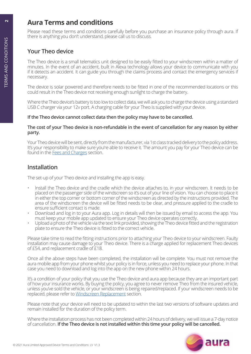# **Aura Terms and conditions <sup>2</sup>**

Please read these terms and conditions carefully before you purchase an insurance policy through aura. If there is anything you don't understand, please call us to discuss.

# **Your Theo device**

The Theo device is a small telematics unit designed to be easily fitted to your windscreen within a matter of minutes. In the event of an accident, built in Alexa technology allows your device to communicate with you if it detects an accident. It can guide you through the claims process and contact the emergency services if necessary.

The device is solar powered and therefore needs to be fitted in one of the recommended locations or this could result in the Theo device not receiving enough sunlight to charge the battery.

Where the Theo device's battery is too low to collect data, we will ask you to charge the device using a standard USB C charger via your 12v port. A charging cable for your Theo is supplied with your device.

## **If the Theo device cannot collect data then the policy may have to be cancelled.**

#### **The cost of your Theo device is non-refundable in the event of cancellation for any reason by either party.**

Your Theo device will be sent, directly from the manufacturer, via 1st class tracked delivery to the policy address. It's your responsibility to make sure you're able to receive it. The amount you pay for your Theo device can be found in the [Fees and Charges](#page-2-0) section.

# **Installation**

The set-up of your Theo device and installing the app is easy.

- Install the Theo device and the cradle which the device attaches to, in your windscreen. It needs to be placed on the passenger side of the windscreen so it's out of your line of vision. You can choose to place it in either the top corner or bottom corner of the windscreen as directed by the instructions provided. The area of the windscreen the device will be fitted needs to be clear, and pressure applied to the cradle to ensure sufficient contact is made.
- Download and log in to your Aura app. Log in details will then be issued by email to access the app. You must keep your mobile app updated to ensure your Theo device operates correctly.
- Upload a photo of the vehicle via the text link provided, showing the Theo device fitted and the registration plate to ensure the Theo device is fitted to the correct vehicle.

Please take time to read the fitting instructions prior to attaching your Theo device to your windscreen. Faulty installation may cause damage to your Theo device. There is a charge applied for replacement Theo devices of £54, and replacement cradle of £18.

Once all the above steps have been completed, the installation will be complete. You must not remove the aura mobile app from your phone whilst your policy is in force, unless you need to replace your phone. In that case you need to download and log into the app on the new phone within 24 hours.

It's a condition of your policy that you use the Theo device and aura app because they are an important part of how your insurance works. By buying the policy, you agree to never remove Theo from the insured vehicle, unless you've sold the vehicle, or your windscreen is being repaired/replaced. If your windscreen needs to be replaced, please refer to [Windscreen Replacement](#page-2-1) section.

Please note that your device will need to be updated to within the last two versions of software updates and remain installed for the duration of the policy term.

Where the installation process has not been completed within 24 hours of delivery, we will issue a 7-day notice of cancellation. **If the Theo device is not installed within this time your policy will be cancelled.**

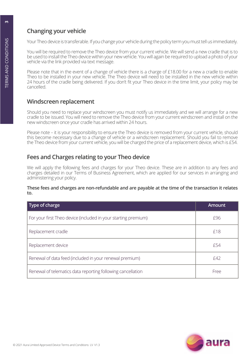# **Changing your vehicle**

Your Theo device is transferable. If you change your vehicle during the policy term you must tell us immediately.

You will be required to remove the Theo device from your current vehicle. We will send a new cradle that is to be used to install the Theo device within your new vehicle. You will again be required to upload a photo of your vehicle via the link provided via text message.

Please note that in the event of a change of vehicle there is a charge of £18.00 for a new a cradle to enable Theo to be installed in your new vehicle. The Theo device will need to be installed in the new vehicle within 24 hours of the cradle being delivered. If you don't fit your Theo device in the time limit, your policy may be cancelled.

## <span id="page-2-1"></span>**Windscreen replacement**

Should you need to replace your windscreen you must notify us immediately and we will arrange for a new cradle to be issued. You will need to remove the Theo device from your current windscreen and install on the new windscreen once your cradle has arrived within 24 hours.

Please note – it is your responsibility to ensure the Theo device is removed from your current vehicle, should this become necessary due to a change of vehicle or a windscreen replacement. Should you fail to remove the Theo device from your current vehicle, you will be charged the price of a replacement device, which is £54.

# <span id="page-2-0"></span>**Fees and Charges relating to your Theo device**

We will apply the following fees and charges for your Theo device. These are in addition to any fees and charges detailed in our Terms of Business Agreement, which are applied for our services in arranging and administering your policy.

### **These fees and charges are non-refundable and are payable at the time of the transaction it relates to.**

| Type of charge                                                 | <b>Amount</b> |
|----------------------------------------------------------------|---------------|
| For your first Theo device (included in your starting premium) | £96           |
| Replacement cradle                                             | £18           |
| Replacement device                                             | f54           |
| Renewal of data feed (included in your renewal premium)        | £42           |
| Renewal of telematics data reporting following cancellation    | Free          |



 $\mathbf{a}$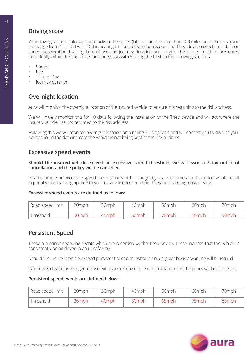# **Driving score**

Your driving score is calculated in blocks of 100 miles (blocks can be more than 100 miles but never less) and can range from 1 to 100 with 100 indicating the best driving behaviour. The Theo device collects trip data on speed, acceleration, braking, time of use and journey duration and length. The scores are then presented individually within the app on a star rating basis with 5 being the best, in the following sections-

- Speed
- Eco
- Time of Day
- Journey duration

# **Overnight location**

Aura will monitor the overnight location of the insured vehicle to ensure it is returning to the risk address.

We will initially monitor this for 10 days following the installation of the Theo device and will act where the insured vehicle has not returned to the risk address.

Following this we will monitor overnight location on a rolling 30-day basis and will contact you to discuss your policy should the data indicate the vehicle is not being kept at the risk address.

## **Excessive speed events**

#### **Should the insured vehicle exceed an excessive speed threshold, we will issue a 7-day notice of cancellation and the policy will be cancelled.**

As an example, an excessive speed event is one which, if caught by a speed camera or the police, would result in penalty-points being applied to your driving licence, or a fine. These indicate high-risk driving.

## **Excessive speed events are defined as follows:**

| <sup>I</sup> Road speed limit | 20mph | 30mph | 40 <sub>mph</sub> | 50mph | 60mph | 70mph |
|-------------------------------|-------|-------|-------------------|-------|-------|-------|
| Threshold                     | 30mph | 45mph | 60mph             | 70mph | 80mph | 90mph |

## **Persistent Speed**

These are minor speeding events which are recorded by the Theo device. These indicate that the vehicle is consistently being driven in an unsafe way.

Should the insured vehicle exceed persistent speed thresholds on a regular basis a warning will be issued.

Where a 3rd warning is triggered, we will issue a 7-day notice of cancellation and the policy will be cancelled.

## **Persistent speed events are defined below -**

| Road speed limit | 20mph    | 30mph | 40mph             | 50mph | 60mph | 70mph |
|------------------|----------|-------|-------------------|-------|-------|-------|
| Threshold        | $26$ mph | 40mph | 50 <sub>mph</sub> | 65mph | 75mph | 85mph |



**4**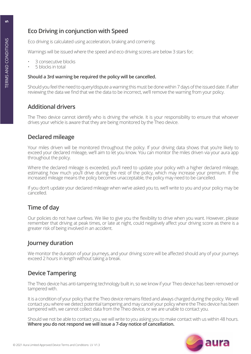# **Eco Driving in conjunction with Speed**

Eco driving is calculated using acceleration, braking and cornering.

Warnings will be issued where the speed and eco driving scores are below 3 stars for;

- 3 consecutive blocks
- 5 blocks in total

## **Should a 3rd warning be required the policy will be cancelled.**

Should you feel the need to query/dispute a warning this must be done within 7 days of the issued date. If after reviewing the data we find that we the data to be incorrect, we'll remove the warning from your policy.

# **Additional drivers**

The Theo device cannot identify who is driving the vehicle. It is your responsibility to ensure that whoever drives your vehicle is aware that they are being monitored by the Theo device.

# **Declared mileage**

Your miles driven will be monitored throughout the policy. If your driving data shows that you're likely to exceed your declared mileage, we'll aim to let you know. You can monitor the miles driven via your aura app throughout the policy.

Where the declared mileage is exceeded, you'll need to update your policy with a higher declared mileage, estimating how much you'll drive during the rest of the policy, which may increase your premium. If the increased mileage means the policy becomes unacceptable, the policy may need to be cancelled.

If you don't update your declared mileage when we've asked you to, we'll write to you and your policy may be cancelled.

# **Time of day**

Our policies do not have curfews. We like to give you the flexibility to drive when you want. However, please remember that driving at peak times, or late at night, could negatively affect your driving score as there is a greater risk of being involved in an accident.

# **Journey duration**

We monitor the duration of your journeys, and your driving score will be affected should any of your journeys exceed 2 hours in length without taking a break.

# **Device Tampering**

The Theo device has anti-tampering technology built in, so we know if your Theo device has been removed or tampered with.

It is a condition of your policy that the Theo device remains fitted and always charged during the policy. We will contact you where we detect potential tampering and may cancel your policy where the Theo device has been tampered with, we cannot collect data from the Theo device, or we are unable to contact you.

Should we not be able to contact you, we will write to you asking you to make contact with us within 48 hours. **Where you do not respond we will issue a 7-day notice of cancellation.**

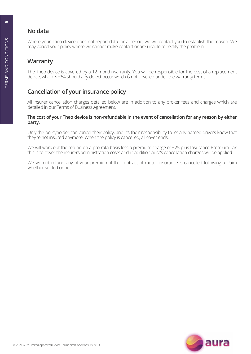# **No data**

Where your Theo device does not report data for a period, we will contact you to establish the reason. We may cancel your policy where we cannot make contact or are unable to rectify the problem.

# **Warranty**

The Theo device is covered by a 12 month warranty. You will be responsible for the cost of a replacement device, which is £54 should any defect occur which is not covered under the warranty terms.

# **Cancellation of your insurance policy**

All insurer cancellation charges detailed below are in addition to any broker fees and charges which are detailed in our Terms of Business Agreement.

#### **The cost of your Theo device is non-refundable in the event of cancellation for any reason by either party.**

Only the policyholder can cancel their policy, and it's their responsibility to let any named drivers know that they're not insured anymore. When the policy is cancelled, all cover ends.

We will work out the refund on a pro-rata basis less a premium charge of £25 plus Insurance Premium Tax this is to cover the insurers administration costs and in addition aura's cancellation charges will be applied.

We will not refund any of your premium if the contract of motor insurance is cancelled following a claim whether settled or not.

**6**